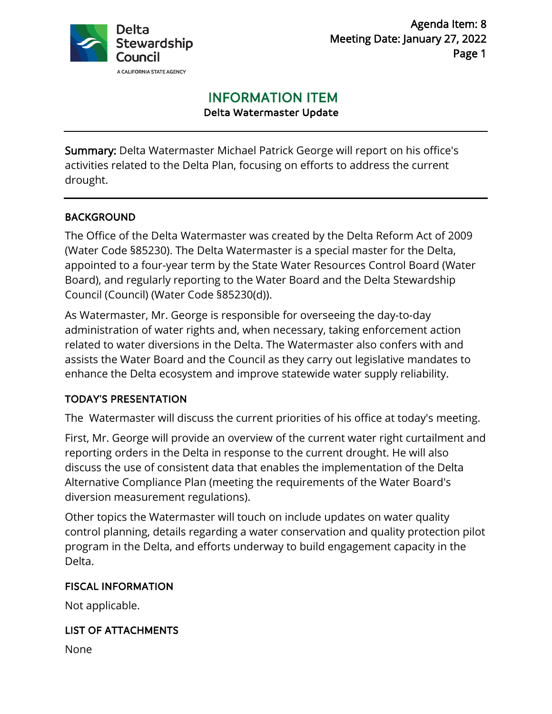

# INFORMATION ITEM

Delta Watermaster Update

Summary: Delta Watermaster Michael Patrick George will report on his office's activities related to the Delta Plan, focusing on efforts to address the current drought.

# BACKGROUND

The Office of the Delta Watermaster was created by the Delta Reform Act of 2009 (Water Code §85230). The Delta Watermaster is a special master for the Delta, appointed to a four-year term by the State Water Resources Control Board (Water Board), and regularly reporting to the Water Board and the Delta Stewardship Council (Council) (Water Code §85230(d)).

As Watermaster, Mr. George is responsible for overseeing the day-to-day administration of water rights and, when necessary, taking enforcement action related to water diversions in the Delta. The Watermaster also confers with and assists the Water Board and the Council as they carry out legislative mandates to enhance the Delta ecosystem and improve statewide water supply reliability.

# TODAY'S PRESENTATION

The Watermaster will discuss the current priorities of his office at today's meeting.

First, Mr. George will provide an overview of the current water right curtailment and reporting orders in the Delta in response to the current drought. He will also discuss the use of consistent data that enables the implementation of the Delta Alternative Compliance Plan (meeting the requirements of the Water Board's diversion measurement regulations).

Other topics the Watermaster will touch on include updates on water quality control planning, details regarding a water conservation and quality protection pilot program in the Delta, and efforts underway to build engagement capacity in the Delta.

### FISCAL INFORMATION

Not applicable.

### LIST OF ATTACHMENTS

None